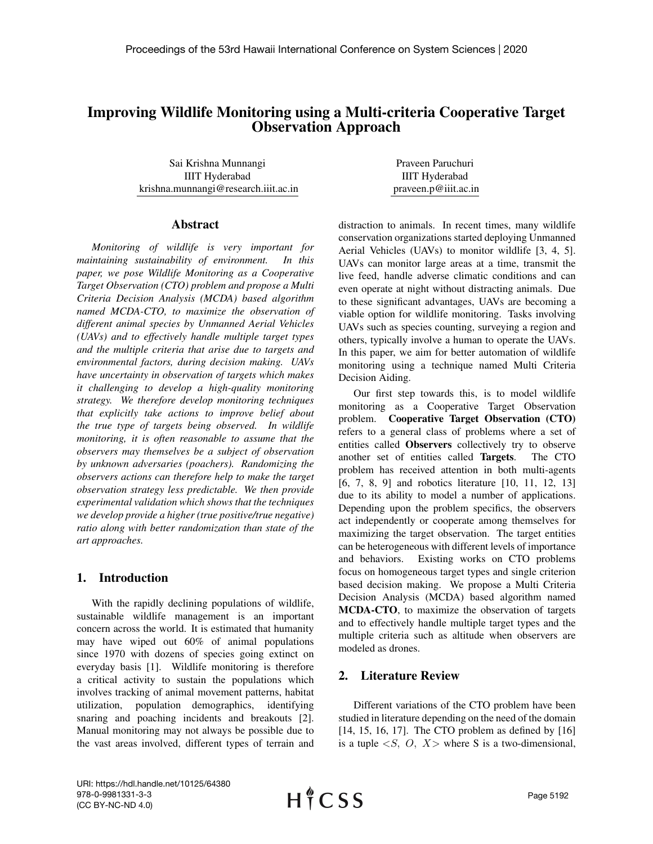# Improving Wildlife Monitoring using a Multi-criteria Cooperative Target Observation Approach

Sai Krishna Munnangi IIIT Hyderabad krishna.munnangi@research.iiit.ac.in

#### Abstract

*Monitoring of wildlife is very important for maintaining sustainability of environment. In this paper, we pose Wildlife Monitoring as a Cooperative Target Observation (CTO) problem and propose a Multi Criteria Decision Analysis (MCDA) based algorithm named MCDA-CTO, to maximize the observation of different animal species by Unmanned Aerial Vehicles (UAVs) and to effectively handle multiple target types and the multiple criteria that arise due to targets and environmental factors, during decision making. UAVs have uncertainty in observation of targets which makes it challenging to develop a high-quality monitoring strategy. We therefore develop monitoring techniques that explicitly take actions to improve belief about the true type of targets being observed. In wildlife monitoring, it is often reasonable to assume that the observers may themselves be a subject of observation by unknown adversaries (poachers). Randomizing the observers actions can therefore help to make the target observation strategy less predictable. We then provide experimental validation which shows that the techniques we develop provide a higher (true positive/true negative) ratio along with better randomization than state of the art approaches.*

# 1. Introduction

With the rapidly declining populations of wildlife, sustainable wildlife management is an important concern across the world. It is estimated that humanity may have wiped out 60% of animal populations since 1970 with dozens of species going extinct on everyday basis [1]. Wildlife monitoring is therefore a critical activity to sustain the populations which involves tracking of animal movement patterns, habitat utilization, population demographics, identifying snaring and poaching incidents and breakouts [2]. Manual monitoring may not always be possible due to the vast areas involved, different types of terrain and

Praveen Paruchuri IIIT Hyderabad praveen.p@iiit.ac.in

distraction to animals. In recent times, many wildlife conservation organizations started deploying Unmanned Aerial Vehicles (UAVs) to monitor wildlife [3, 4, 5]. UAVs can monitor large areas at a time, transmit the live feed, handle adverse climatic conditions and can even operate at night without distracting animals. Due to these significant advantages, UAVs are becoming a viable option for wildlife monitoring. Tasks involving UAVs such as species counting, surveying a region and others, typically involve a human to operate the UAVs. In this paper, we aim for better automation of wildlife monitoring using a technique named Multi Criteria Decision Aiding.

Our first step towards this, is to model wildlife monitoring as a Cooperative Target Observation problem. Cooperative Target Observation (CTO) refers to a general class of problems where a set of entities called Observers collectively try to observe another set of entities called Targets. The CTO problem has received attention in both multi-agents [6, 7, 8, 9] and robotics literature [10, 11, 12, 13] due to its ability to model a number of applications. Depending upon the problem specifics, the observers act independently or cooperate among themselves for maximizing the target observation. The target entities can be heterogeneous with different levels of importance and behaviors. Existing works on CTO problems focus on homogeneous target types and single criterion based decision making. We propose a Multi Criteria Decision Analysis (MCDA) based algorithm named MCDA-CTO, to maximize the observation of targets and to effectively handle multiple target types and the multiple criteria such as altitude when observers are modeled as drones.

# 2. Literature Review

Different variations of the CTO problem have been studied in literature depending on the need of the domain [14, 15, 16, 17]. The CTO problem as defined by [16] is a tuple  $\langle S, O, X \rangle$  where S is a two-dimensional,

URI: https://hdl.handle.net/10125/64380 978-0-9981331-3-3 (CC BY-NC-ND 4.0)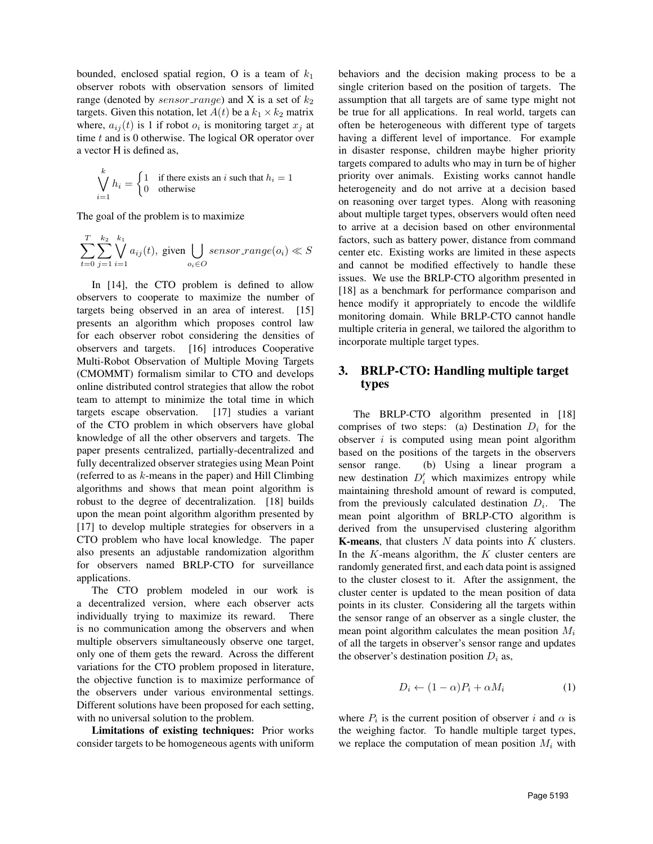bounded, enclosed spatial region, O is a team of  $k_1$ observer robots with observation sensors of limited range (denoted by sensor\_range) and X is a set of  $k_2$ targets. Given this notation, let  $A(t)$  be a  $k_1 \times k_2$  matrix where,  $a_{ij}(t)$  is 1 if robot  $o_i$  is monitoring target  $x_j$  at time  $t$  and is 0 otherwise. The logical OR operator over a vector H is defined as,

$$
\bigvee_{i=1}^{k} h_i = \begin{cases} 1 & \text{if there exists an } i \text{ such that } h_i = 1 \\ 0 & \text{otherwise} \end{cases}
$$

The goal of the problem is to maximize

$$
\sum_{t=0}^{T}\sum_{j=1}^{k_2}\bigvee_{i=1}^{k_1}a_{ij}(t),\ \text{given}\bigcup_{o_i\in O}sensor\_range(o_i)\ll S
$$

In [14], the CTO problem is defined to allow observers to cooperate to maximize the number of targets being observed in an area of interest. [15] presents an algorithm which proposes control law for each observer robot considering the densities of observers and targets. [16] introduces Cooperative Multi-Robot Observation of Multiple Moving Targets (CMOMMT) formalism similar to CTO and develops online distributed control strategies that allow the robot team to attempt to minimize the total time in which targets escape observation. [17] studies a variant of the CTO problem in which observers have global knowledge of all the other observers and targets. The paper presents centralized, partially-decentralized and fully decentralized observer strategies using Mean Point (referred to as  $k$ -means in the paper) and Hill Climbing algorithms and shows that mean point algorithm is robust to the degree of decentralization. [18] builds upon the mean point algorithm algorithm presented by [17] to develop multiple strategies for observers in a CTO problem who have local knowledge. The paper also presents an adjustable randomization algorithm for observers named BRLP-CTO for surveillance applications.

The CTO problem modeled in our work is a decentralized version, where each observer acts individually trying to maximize its reward. There is no communication among the observers and when multiple observers simultaneously observe one target, only one of them gets the reward. Across the different variations for the CTO problem proposed in literature, the objective function is to maximize performance of the observers under various environmental settings. Different solutions have been proposed for each setting, with no universal solution to the problem.

Limitations of existing techniques: Prior works consider targets to be homogeneous agents with uniform

behaviors and the decision making process to be a single criterion based on the position of targets. The assumption that all targets are of same type might not be true for all applications. In real world, targets can often be heterogeneous with different type of targets having a different level of importance. For example in disaster response, children maybe higher priority targets compared to adults who may in turn be of higher priority over animals. Existing works cannot handle heterogeneity and do not arrive at a decision based on reasoning over target types. Along with reasoning about multiple target types, observers would often need to arrive at a decision based on other environmental factors, such as battery power, distance from command center etc. Existing works are limited in these aspects and cannot be modified effectively to handle these issues. We use the BRLP-CTO algorithm presented in [18] as a benchmark for performance comparison and hence modify it appropriately to encode the wildlife monitoring domain. While BRLP-CTO cannot handle multiple criteria in general, we tailored the algorithm to incorporate multiple target types.

# 3. BRLP-CTO: Handling multiple target types

The BRLP-CTO algorithm presented in [18] comprises of two steps: (a) Destination  $D_i$  for the observer  $i$  is computed using mean point algorithm based on the positions of the targets in the observers sensor range. (b) Using a linear program a new destination  $D'_i$  which maximizes entropy while maintaining threshold amount of reward is computed, from the previously calculated destination  $D_i$ . The mean point algorithm of BRLP-CTO algorithm is derived from the unsupervised clustering algorithm **K-means**, that clusters  $N$  data points into  $K$  clusters. In the  $K$ -means algorithm, the  $K$  cluster centers are randomly generated first, and each data point is assigned to the cluster closest to it. After the assignment, the cluster center is updated to the mean position of data points in its cluster. Considering all the targets within the sensor range of an observer as a single cluster, the mean point algorithm calculates the mean position  $M_i$ of all the targets in observer's sensor range and updates the observer's destination position  $D_i$  as,

$$
D_i \leftarrow (1 - \alpha)P_i + \alpha M_i \tag{1}
$$

where  $P_i$  is the current position of observer i and  $\alpha$  is the weighing factor. To handle multiple target types, we replace the computation of mean position  $M_i$  with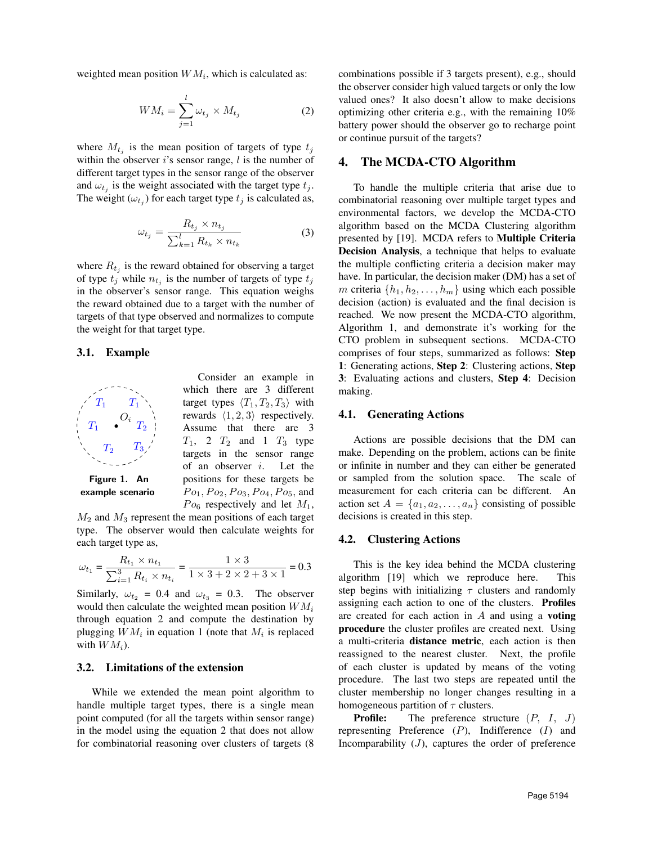weighted mean position  $WM_i$ , which is calculated as:

$$
WM_i = \sum_{j=1}^{l} \omega_{t_j} \times M_{t_j}
$$
 (2)

where  $M_{t_j}$  is the mean position of targets of type  $t_j$ within the observer i's sensor range,  $l$  is the number of different target types in the sensor range of the observer and  $\omega_{t_j}$  is the weight associated with the target type  $t_j$ . The weight  $(\omega_{t_j})$  for each target type  $t_j$  is calculated as,

$$
\omega_{t_j} = \frac{R_{t_j} \times n_{t_j}}{\sum_{k=1}^{l} R_{t_k} \times n_{t_k}} \tag{3}
$$

where  $R_{t_j}$  is the reward obtained for observing a target of type  $t_j$  while  $n_{t_j}$  is the number of targets of type  $t_j$ in the observer's sensor range. This equation weighs the reward obtained due to a target with the number of targets of that type observed and normalizes to compute the weight for that target type.

#### 3.1. Example



example scenario

Consider an example in which there are 3 different target types  $\langle T_1, T_2, T_3 \rangle$  with rewards  $\langle 1, 2, 3 \rangle$  respectively. Assume that there are 3  $T_1$ , 2  $T_2$  and 1  $T_3$  type targets in the sensor range of an observer  $i$ . Let the positions for these targets be  $P_{{0_1}}, P_{{0_2}}, P_{{0_3}}, P_{{0_4}}, P_{{0_5}},$  and  $Po_6$  respectively and let  $M_1$ ,

 $M_2$  and  $M_3$  represent the mean positions of each target type. The observer would then calculate weights for each target type as,

$$
\omega_{t_1} = \frac{R_{t_1} \times n_{t_1}}{\sum_{i=1}^3 R_{t_i} \times n_{t_i}} = \frac{1 \times 3}{1 \times 3 + 2 \times 2 + 3 \times 1} = 0.3
$$

Similarly,  $\omega_{t_2} = 0.4$  and  $\omega_{t_3} = 0.3$ . The observer would then calculate the weighted mean position  $WM_i$ through equation 2 and compute the destination by plugging  $WM_i$  in equation 1 (note that  $M_i$  is replaced with  $WM_i$ ).

# 3.2. Limitations of the extension

While we extended the mean point algorithm to handle multiple target types, there is a single mean point computed (for all the targets within sensor range) in the model using the equation 2 that does not allow for combinatorial reasoning over clusters of targets (8 combinations possible if 3 targets present), e.g., should the observer consider high valued targets or only the low valued ones? It also doesn't allow to make decisions optimizing other criteria e.g., with the remaining 10% battery power should the observer go to recharge point or continue pursuit of the targets?

#### 4. The MCDA-CTO Algorithm

To handle the multiple criteria that arise due to combinatorial reasoning over multiple target types and environmental factors, we develop the MCDA-CTO algorithm based on the MCDA Clustering algorithm presented by [19]. MCDA refers to Multiple Criteria Decision Analysis, a technique that helps to evaluate the multiple conflicting criteria a decision maker may have. In particular, the decision maker (DM) has a set of m criteria  $\{h_1, h_2, \ldots, h_m\}$  using which each possible decision (action) is evaluated and the final decision is reached. We now present the MCDA-CTO algorithm, Algorithm 1, and demonstrate it's working for the CTO problem in subsequent sections. MCDA-CTO comprises of four steps, summarized as follows: Step 1: Generating actions, Step 2: Clustering actions, Step 3: Evaluating actions and clusters, Step 4: Decision making.

#### 4.1. Generating Actions

Actions are possible decisions that the DM can make. Depending on the problem, actions can be finite or infinite in number and they can either be generated or sampled from the solution space. The scale of measurement for each criteria can be different. An action set  $A = \{a_1, a_2, \ldots, a_n\}$  consisting of possible decisions is created in this step.

#### 4.2. Clustering Actions

This is the key idea behind the MCDA clustering algorithm [19] which we reproduce here. This step begins with initializing  $\tau$  clusters and randomly assigning each action to one of the clusters. Profiles are created for each action in  $A$  and using a **voting** procedure the cluster profiles are created next. Using a multi-criteria distance metric, each action is then reassigned to the nearest cluster. Next, the profile of each cluster is updated by means of the voting procedure. The last two steps are repeated until the cluster membership no longer changes resulting in a homogeneous partition of  $\tau$  clusters.

**Profile:** The preference structure  $(P, I, J)$ representing Preference  $(P)$ , Indifference  $(I)$  and Incomparability  $(J)$ , captures the order of preference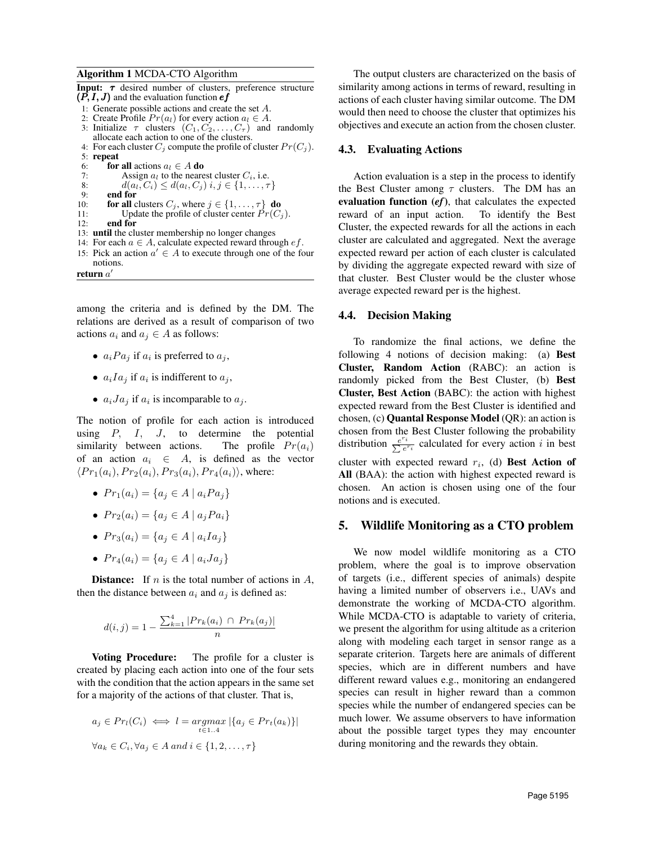#### Algorithm 1 MCDA-CTO Algorithm

**Input:**  $\tau$  desired number of clusters, preference structure  $(P, I, J)$  and the evaluation function  $ef$ 1: Generate possible actions and create the set A. 2: Create Profile  $Pr(a_l)$  for every action  $a_l \in A$ . 3: Initialize  $\tau$  clusters  $(C_1, C_2, \ldots, C_{\tau})$  and randomly allocate each action to one of the clusters. 4: For each cluster  $C_j$  compute the profile of cluster  $Pr(C_j)$ . 5: repeat 6: **for all** actions  $a_l \in A$  **do**<br>7: Assign  $a_l$  to the neare 7: Assign  $a_l$  to the nearest cluster  $C_i$ , i.e.<br>8:  $d(a_l, C_i) \leq d(a_l, C_i)$  i.  $j \in \{1, ..., \tau\}$ 8:  $d(a_i, C_i) \leq d(a_i, C_j)$   $i, j \in \{1, ..., \tau\}$ <br>9: **end for** 9: **end for**  $10$ : **for all** c 10: **for all** clusters  $C_j$ , where  $j \in \{1, ..., \tau\}$  **do**<br>11: Update the profile of cluster center  $Pr(C_i)$ Update the profile of cluster center  $Pr(C_i)$ . 12: end for 13: until the cluster membership no longer changes 14: For each  $a \in A$ , calculate expected reward through  $ef$ . 15: Pick an action  $a' \in A$  to execute through one of the four notions. return  $a'$ 

among the criteria and is defined by the DM. The relations are derived as a result of comparison of two actions  $a_i$  and  $a_j \in A$  as follows:

- $a_i Pa_j$  if  $a_i$  is preferred to  $a_j$ ,
- $a_i I a_j$  if  $a_i$  is indifferent to  $a_j$ ,
- $a_i Ja_j$  if  $a_i$  is incomparable to  $a_j$ .

The notion of profile for each action is introduced using  $P$ ,  $I$ ,  $J$ , to determine the potential similarity between actions. The profile  $Pr(a_i)$ of an action  $a_i \in A$ , is defined as the vector  $\langle Pr_1(a_i), Pr_2(a_i), Pr_3(a_i), Pr_4(a_i) \rangle$ , where:

- $Pr_1(a_i) = \{a_i \in A \mid a_i Pa_i\}$
- $Pr_2(a_i) = \{a_i \in A \mid a_i Pa_i\}$
- $Pr_3(a_i) = \{a_i \in A \mid a_i I a_j\}$
- $Pr_4(a_i) = \{a_i \in A \mid a_i J a_j\}$

**Distance:** If  $n$  is the total number of actions in  $A$ , then the distance between  $a_i$  and  $a_j$  is defined as:

$$
d(i,j) = 1 - \frac{\sum_{k=1}^{4} |Pr_k(a_i) \cap Pr_k(a_j)|}{n}
$$

**Voting Procedure:** The profile for a cluster is created by placing each action into one of the four sets with the condition that the action appears in the same set for a majority of the actions of that cluster. That is,

$$
a_j \in Pr_l(C_i) \iff l = \underset{t \in 1..4}{\operatorname{argmax}} |\{a_j \in Pr_t(a_k)\}|
$$

$$
\forall a_k \in C_i, \forall a_j \in A \text{ and } i \in \{1, 2, ..., \tau\}
$$

The output clusters are characterized on the basis of similarity among actions in terms of reward, resulting in actions of each cluster having similar outcome. The DM would then need to choose the cluster that optimizes his objectives and execute an action from the chosen cluster.

#### 4.3. Evaluating Actions

Action evaluation is a step in the process to identify the Best Cluster among  $\tau$  clusters. The DM has an evaluation function (*ef*), that calculates the expected reward of an input action. To identify the Best Cluster, the expected rewards for all the actions in each cluster are calculated and aggregated. Next the average expected reward per action of each cluster is calculated by dividing the aggregate expected reward with size of that cluster. Best Cluster would be the cluster whose average expected reward per is the highest.

## 4.4. Decision Making

To randomize the final actions, we define the following 4 notions of decision making: (a) Best Cluster, Random Action (RABC): an action is randomly picked from the Best Cluster, (b) Best Cluster, Best Action (BABC): the action with highest expected reward from the Best Cluster is identified and chosen, (c) Quantal Response Model (QR): an action is chosen from the Best Cluster following the probability distribution  $\frac{e^{r_i}}{\sum e^{r_i}}$  $\frac{i}{e^{r_i}}$  calculated for every action i in best cluster with expected reward  $r_i$ , (d) Best Action of All (BAA): the action with highest expected reward is chosen. An action is chosen using one of the four notions and is executed.

## 5. Wildlife Monitoring as a CTO problem

We now model wildlife monitoring as a CTO problem, where the goal is to improve observation of targets (i.e., different species of animals) despite having a limited number of observers i.e., UAVs and demonstrate the working of MCDA-CTO algorithm. While MCDA-CTO is adaptable to variety of criteria, we present the algorithm for using altitude as a criterion along with modeling each target in sensor range as a separate criterion. Targets here are animals of different species, which are in different numbers and have different reward values e.g., monitoring an endangered species can result in higher reward than a common species while the number of endangered species can be much lower. We assume observers to have information about the possible target types they may encounter during monitoring and the rewards they obtain.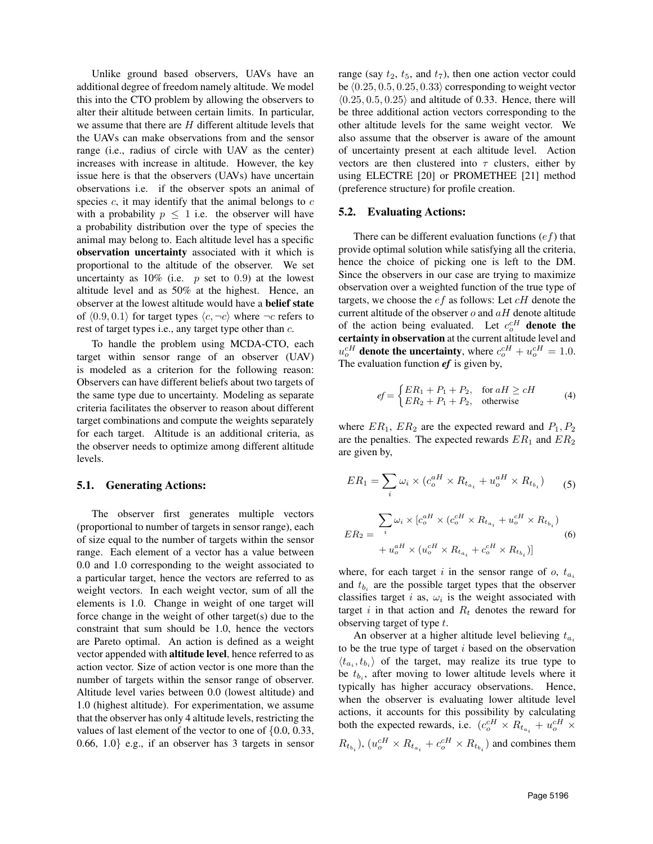Unlike ground based observers, UAVs have an additional degree of freedom namely altitude. We model this into the CTO problem by allowing the observers to alter their altitude between certain limits. In particular, we assume that there are H different altitude levels that the UAVs can make observations from and the sensor range (i.e., radius of circle with UAV as the center) increases with increase in altitude. However, the key issue here is that the observers (UAVs) have uncertain observations i.e. if the observer spots an animal of species  $c$ , it may identify that the animal belongs to  $c$ with a probability  $p \leq 1$  i.e. the observer will have a probability distribution over the type of species the animal may belong to. Each altitude level has a specific observation uncertainty associated with it which is proportional to the altitude of the observer. We set uncertainty as  $10\%$  (i.e. p set to 0.9) at the lowest altitude level and as 50% at the highest. Hence, an observer at the lowest altitude would have a belief state of  $(0.9, 0.1)$  for target types  $\langle c, \neg c \rangle$  where  $\neg c$  refers to rest of target types i.e., any target type other than c.

To handle the problem using MCDA-CTO, each target within sensor range of an observer (UAV) is modeled as a criterion for the following reason: Observers can have different beliefs about two targets of the same type due to uncertainty. Modeling as separate criteria facilitates the observer to reason about different target combinations and compute the weights separately for each target. Altitude is an additional criteria, as the observer needs to optimize among different altitude levels.

#### 5.1. Generating Actions:

The observer first generates multiple vectors (proportional to number of targets in sensor range), each of size equal to the number of targets within the sensor range. Each element of a vector has a value between 0.0 and 1.0 corresponding to the weight associated to a particular target, hence the vectors are referred to as weight vectors. In each weight vector, sum of all the elements is 1.0. Change in weight of one target will force change in the weight of other target(s) due to the constraint that sum should be 1.0, hence the vectors are Pareto optimal. An action is defined as a weight vector appended with altitude level, hence referred to as action vector. Size of action vector is one more than the number of targets within the sensor range of observer. Altitude level varies between 0.0 (lowest altitude) and 1.0 (highest altitude). For experimentation, we assume that the observer has only 4 altitude levels, restricting the values of last element of the vector to one of {0.0, 0.33, 0.66, 1.0} e.g., if an observer has 3 targets in sensor

range (say  $t_2$ ,  $t_5$ , and  $t_7$ ), then one action vector could be  $(0.25, 0.5, 0.25, 0.33)$  corresponding to weight vector  $(0.25, 0.5, 0.25)$  and altitude of 0.33. Hence, there will be three additional action vectors corresponding to the other altitude levels for the same weight vector. We also assume that the observer is aware of the amount of uncertainty present at each altitude level. Action vectors are then clustered into  $\tau$  clusters, either by using ELECTRE [20] or PROMETHEE [21] method (preference structure) for profile creation.

#### 5.2. Evaluating Actions:

There can be different evaluation functions  $(e f)$  that provide optimal solution while satisfying all the criteria, hence the choice of picking one is left to the DM. Since the observers in our case are trying to maximize observation over a weighted function of the true type of targets, we choose the  $ef$  as follows: Let  $cH$  denote the current altitude of the observer  $o$  and  $aH$  denote altitude of the action being evaluated. Let  $c_o^{cH}$  denote the certainty in observation at the current altitude level and  $u_o^{cH}$  denote the uncertainty, where  $c_o^{cH} + u_o^{cH} = 1.0$ . The evaluation function *ef* is given by,

$$
ef = \begin{cases} ER_1 + P_1 + P_2, & \text{for } aH \ge cH \\ ER_2 + P_1 + P_2, & \text{otherwise} \end{cases}
$$
 (4)

where  $ER_1$ ,  $ER_2$  are the expected reward and  $P_1$ ,  $P_2$ are the penalties. The expected rewards  $ER_1$  and  $ER_2$ are given by,

$$
ER_1 = \sum_i \omega_i \times (c_o^{aH} \times R_{t_{a_i}} + u_o^{aH} \times R_{t_{b_i}})
$$
(5)  

$$
\sum_i \omega_i \times [c_o^{aH} \times (c_o^{cH} \times R_{t_{a_i}} + u_o^{cH} \times R_{t_{b_i}})
$$
  

$$
ER_2 = \frac{1}{i} + u_o^{aH} \times (u_o^{cH} \times R_{t_{a_i}} + c_o^{cH} \times R_{t_{b_i}})]
$$
(6)

where, for each target i in the sensor range of  $o$ ,  $t_{a_i}$ and  $t_{b_i}$  are the possible target types that the observer classifies target i as,  $\omega_i$  is the weight associated with target i in that action and  $R_t$  denotes the reward for observing target of type t.

An observer at a higher altitude level believing  $t_{a_i}$ to be the true type of target  $i$  based on the observation  $\langle t_{a_i}, t_{b_i} \rangle$  of the target, may realize its true type to be  $t_{b_i}$ , after moving to lower altitude levels where it typically has higher accuracy observations. Hence, when the observer is evaluating lower altitude level actions, it accounts for this possibility by calculating both the expected rewards, i.e.  $(c_o^{cH} \times R_{t_{a_i}} + u_o^{cH} \times R_{t_{a_i}})$  $(R_{t_{b_i}})$ ,  $(u_o^{cH} \times R_{t_{a_i}} + c_o^{cH} \times R_{t_{b_i}})$  and combines them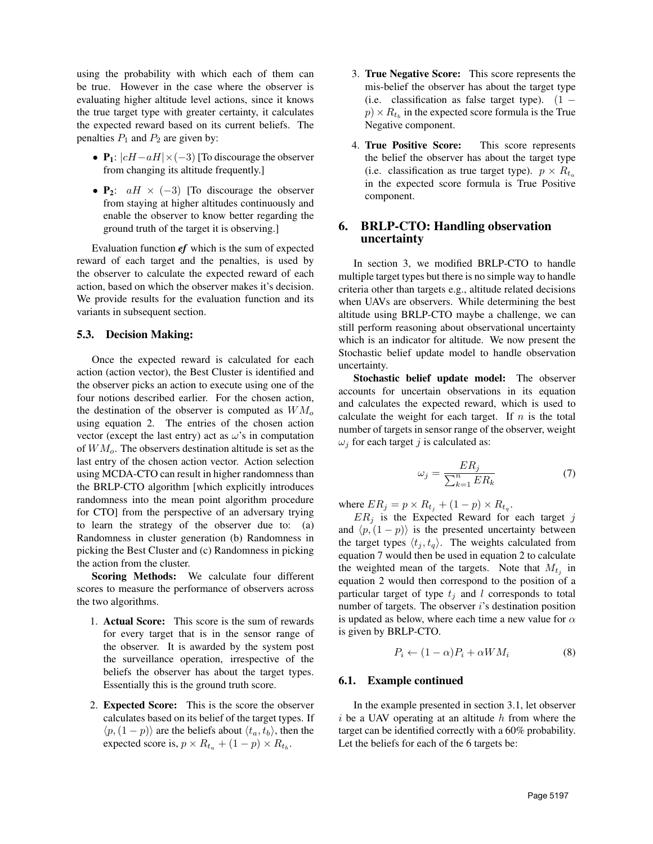using the probability with which each of them can be true. However in the case where the observer is evaluating higher altitude level actions, since it knows the true target type with greater certainty, it calculates the expected reward based on its current beliefs. The penalties  $P_1$  and  $P_2$  are given by:

- P<sub>1</sub>:  $|cH-aH|\times(-3)$  [To discourage the observer from changing its altitude frequently.]
- $P_2$ :  $aH \times (-3)$  [To discourage the observer from staying at higher altitudes continuously and enable the observer to know better regarding the ground truth of the target it is observing.]

Evaluation function *ef* which is the sum of expected reward of each target and the penalties, is used by the observer to calculate the expected reward of each action, based on which the observer makes it's decision. We provide results for the evaluation function and its variants in subsequent section.

### 5.3. Decision Making:

Once the expected reward is calculated for each action (action vector), the Best Cluster is identified and the observer picks an action to execute using one of the four notions described earlier. For the chosen action, the destination of the observer is computed as  $WM<sub>o</sub>$ using equation 2. The entries of the chosen action vector (except the last entry) act as  $\omega$ 's in computation of  $WM<sub>o</sub>$ . The observers destination altitude is set as the last entry of the chosen action vector. Action selection using MCDA-CTO can result in higher randomness than the BRLP-CTO algorithm [which explicitly introduces randomness into the mean point algorithm procedure for CTO] from the perspective of an adversary trying to learn the strategy of the observer due to: (a) Randomness in cluster generation (b) Randomness in picking the Best Cluster and (c) Randomness in picking the action from the cluster.

Scoring Methods: We calculate four different scores to measure the performance of observers across the two algorithms.

- 1. Actual Score: This score is the sum of rewards for every target that is in the sensor range of the observer. It is awarded by the system post the surveillance operation, irrespective of the beliefs the observer has about the target types. Essentially this is the ground truth score.
- 2. Expected Score: This is the score the observer calculates based on its belief of the target types. If  $\langle p,(1 - p) \rangle$  are the beliefs about  $\langle t_a, t_b \rangle$ , then the expected score is,  $p \times R_{t_a} + (1 - p) \times R_{t_b}$ .
- 3. True Negative Score: This score represents the mis-belief the observer has about the target type (i.e. classification as false target type).  $(1$  $p) \times R_{t_b}$  in the expected score formula is the True Negative component.
- 4. True Positive Score: This score represents the belief the observer has about the target type (i.e. classification as true target type).  $p \times R_{t_a}$ in the expected score formula is True Positive component.

# 6. BRLP-CTO: Handling observation uncertainty

In section 3, we modified BRLP-CTO to handle multiple target types but there is no simple way to handle criteria other than targets e.g., altitude related decisions when UAVs are observers. While determining the best altitude using BRLP-CTO maybe a challenge, we can still perform reasoning about observational uncertainty which is an indicator for altitude. We now present the Stochastic belief update model to handle observation uncertainty.

Stochastic belief update model: The observer accounts for uncertain observations in its equation and calculates the expected reward, which is used to calculate the weight for each target. If  $n$  is the total number of targets in sensor range of the observer, weight  $\omega_j$  for each target j is calculated as:

$$
\omega_j = \frac{ER_j}{\sum_{k=1}^n ER_k} \tag{7}
$$

where  $ER_j = p \times R_{t_j} + (1 - p) \times R_{t_q}$ .

 $ER_i$  is the Expected Reward for each target j and  $\langle p,(1 - p)\rangle$  is the presented uncertainty between the target types  $\langle t_j, t_q \rangle$ . The weights calculated from equation 7 would then be used in equation 2 to calculate the weighted mean of the targets. Note that  $M_{t_j}$  in equation 2 would then correspond to the position of a particular target of type  $t_j$  and l corresponds to total number of targets. The observer  $i$ 's destination position is updated as below, where each time a new value for  $\alpha$ is given by BRLP-CTO.

$$
P_i \leftarrow (1 - \alpha)P_i + \alpha WM_i \tag{8}
$$

#### 6.1. Example continued

In the example presented in section 3.1, let observer  $i$  be a UAV operating at an altitude  $h$  from where the target can be identified correctly with a 60% probability. Let the beliefs for each of the 6 targets be: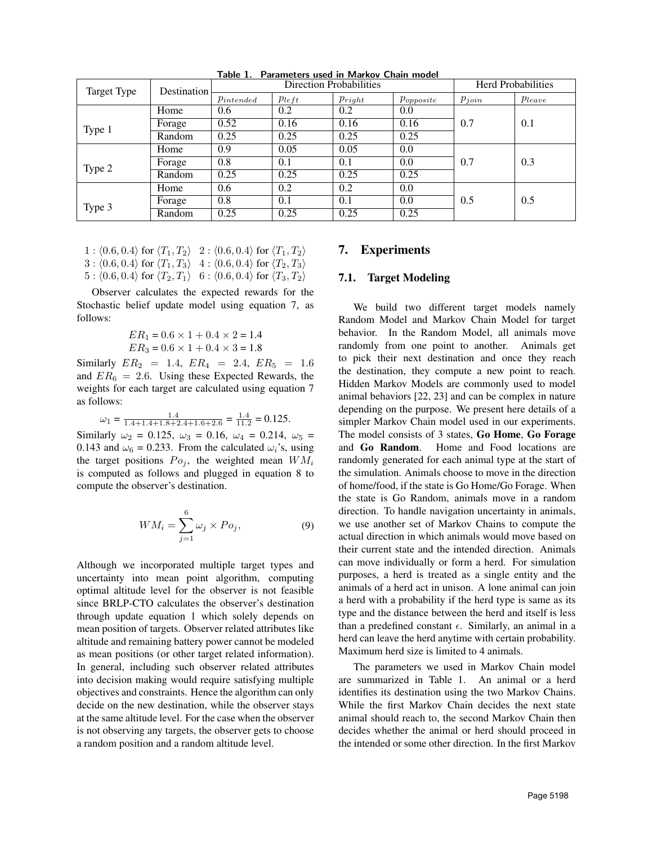| Target Type | Destination | <b>Direction Probabilities</b> |            |             |                | <b>Herd Probabilities</b> |             |
|-------------|-------------|--------------------------------|------------|-------------|----------------|---------------------------|-------------|
|             |             | $\emph{Pintended}$             | $p_{left}$ | $p_{right}$ | $p_{opposite}$ | $p_{join}$                | $p_{leave}$ |
|             | Home        | 0.6                            | 0.2        | 0.2         | 0.0            |                           |             |
| Type 1      | Forage      | 0.52                           | 0.16       | 0.16        | 0.16           | 0.7                       | 0.1         |
|             | Random      | 0.25                           | 0.25       | 0.25        | 0.25           |                           |             |
|             | Home        | 0.9                            | 0.05       | 0.05        | 0.0            |                           |             |
| Type 2      | Forage      | 0.8                            | 0.1        | 0.1         | 0.0            | 0.7                       | 0.3         |
|             | Random      | 0.25                           | 0.25       | 0.25        | 0.25           |                           |             |
|             | Home        | 0.6                            | 0.2        | 0.2         | 0.0            |                           |             |
| Type 3      | Forage      | 0.8                            | 0.1        | 0.1         | 0.0            | 0.5                       | 0.5         |
|             | Random      | 0.25                           | 0.25       | 0.25        | 0.25           |                           |             |

Table 1. Parameters used in Markov Chain model

 $1 : \langle 0.6, 0.4 \rangle$  for  $\langle T_1, T_2 \rangle$   $2 : \langle 0.6, 0.4 \rangle$  for  $\langle T_1, T_2 \rangle$  $3 : \langle 0.6, 0.4 \rangle$  for  $\langle T_1, T_3 \rangle$  4 :  $\langle 0.6, 0.4 \rangle$  for  $\langle T_2, T_3 \rangle$  $5: \langle 0.6, 0.4 \rangle$  for  $\langle T_2, T_1 \rangle$  6 :  $\langle 0.6, 0.4 \rangle$  for  $\langle T_3, T_2 \rangle$ 

Observer calculates the expected rewards for the Stochastic belief update model using equation 7, as follows:

$$
ER_1 = 0.6 \times 1 + 0.4 \times 2 = 1.4
$$
  

$$
ER_3 = 0.6 \times 1 + 0.4 \times 3 = 1.8
$$

Similarly  $ER_2 = 1.4$ ,  $ER_4 = 2.4$ ,  $ER_5 = 1.6$ and  $ER_6 = 2.6$ . Using these Expected Rewards, the weights for each target are calculated using equation 7 as follows:

 $\omega_1 = \frac{1.4}{1.4+1.4+1.8+2.4+1.6+2.6} = \frac{1.4}{11.2} = 0.125.$ 

Similarly  $\omega_2 = 0.125$ ,  $\omega_3 = 0.16$ ,  $\omega_4 = 0.214$ ,  $\omega_5 =$ 0.143 and  $\omega_6 = 0.233$ . From the calculated  $\omega_i$ 's, using the target positions  $Po_i$ , the weighted mean  $WM_i$ is computed as follows and plugged in equation 8 to compute the observer's destination.

$$
WM_i = \sum_{j=1}^{6} \omega_j \times Po_j,
$$
 (9)

Although we incorporated multiple target types and uncertainty into mean point algorithm, computing optimal altitude level for the observer is not feasible since BRLP-CTO calculates the observer's destination through update equation 1 which solely depends on mean position of targets. Observer related attributes like altitude and remaining battery power cannot be modeled as mean positions (or other target related information). In general, including such observer related attributes into decision making would require satisfying multiple objectives and constraints. Hence the algorithm can only decide on the new destination, while the observer stays at the same altitude level. For the case when the observer is not observing any targets, the observer gets to choose a random position and a random altitude level.

### 7. Experiments

#### 7.1. Target Modeling

We build two different target models namely Random Model and Markov Chain Model for target behavior. In the Random Model, all animals move randomly from one point to another. Animals get to pick their next destination and once they reach the destination, they compute a new point to reach. Hidden Markov Models are commonly used to model animal behaviors [22, 23] and can be complex in nature depending on the purpose. We present here details of a simpler Markov Chain model used in our experiments. The model consists of 3 states, Go Home, Go Forage and Go Random. Home and Food locations are randomly generated for each animal type at the start of the simulation. Animals choose to move in the direction of home/food, if the state is Go Home/Go Forage. When the state is Go Random, animals move in a random direction. To handle navigation uncertainty in animals, we use another set of Markov Chains to compute the actual direction in which animals would move based on their current state and the intended direction. Animals can move individually or form a herd. For simulation purposes, a herd is treated as a single entity and the animals of a herd act in unison. A lone animal can join a herd with a probability if the herd type is same as its type and the distance between the herd and itself is less than a predefined constant  $\epsilon$ . Similarly, an animal in a herd can leave the herd anytime with certain probability. Maximum herd size is limited to 4 animals.

The parameters we used in Markov Chain model are summarized in Table 1. An animal or a herd identifies its destination using the two Markov Chains. While the first Markov Chain decides the next state animal should reach to, the second Markov Chain then decides whether the animal or herd should proceed in the intended or some other direction. In the first Markov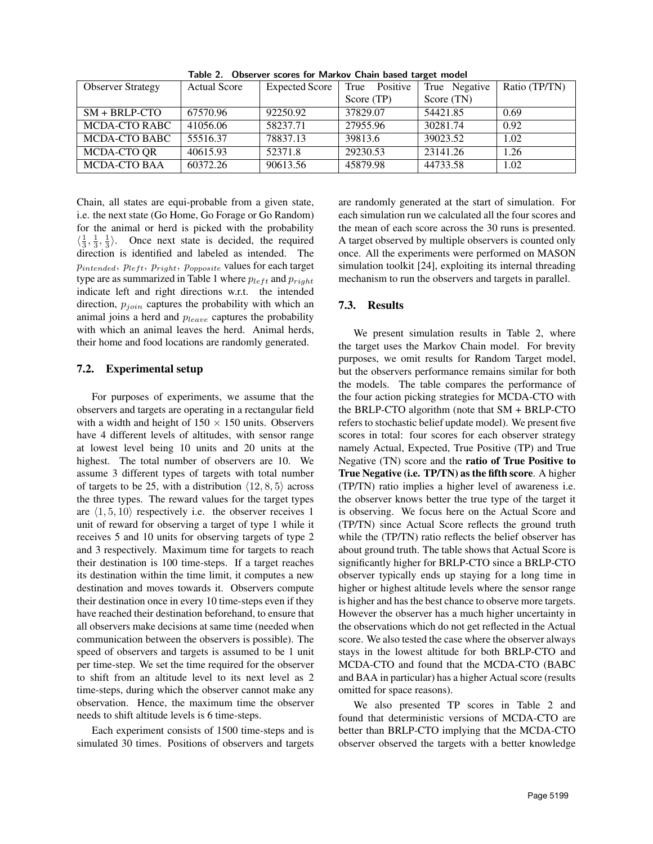| <b>Observer Strategy</b> | <b>Actual Score</b> | <b>Expected Score</b> | True Positive | True Negative | Ratio (TP/TN) |
|--------------------------|---------------------|-----------------------|---------------|---------------|---------------|
|                          |                     |                       | Score (TP)    | Score (TN)    |               |
| $SM + BRLP-CTO$          | 67570.96            | 92250.92              | 37829.07      | 54421.85      | 0.69          |
| MCDA-CTO RABC            | 41056.06            | 58237.71              | 27955.96      | 30281.74      | 0.92          |
| MCDA-CTO BABC            | 55516.37            | 78837.13              | 39813.6       | 39023.52      | 1.02          |
| MCDA-CTO QR              | 40615.93            | 52371.8               | 29230.53      | 23141.26      | 1.26          |
| <b>MCDA-CTO BAA</b>      | 60372.26            | 90613.56              | 45879.98      | 44733.58      | 1.02          |

Table 2. Observer scores for Markov Chain based target model

Chain, all states are equi-probable from a given state, i.e. the next state (Go Home, Go Forage or Go Random) for the animal or herd is picked with the probability  $\langle \frac{1}{3}, \frac{1}{3}, \frac{1}{3} \rangle$ . Once next state is decided, the required direction is identified and labeled as intended. The Pintended, Pleft, Pright, Popposite values for each target type are as summarized in Table 1 where  $p_{left}$  and  $p_{right}$ indicate left and right directions w.r.t. the intended direction,  $p_{join}$  captures the probability with which an animal joins a herd and  $p_{leave}$  captures the probability with which an animal leaves the herd. Animal herds, their home and food locations are randomly generated.

# 7.2. Experimental setup

For purposes of experiments, we assume that the observers and targets are operating in a rectangular field with a width and height of  $150 \times 150$  units. Observers have 4 different levels of altitudes, with sensor range at lowest level being 10 units and 20 units at the highest. The total number of observers are 10. We assume 3 different types of targets with total number of targets to be 25, with a distribution  $\langle 12, 8, 5 \rangle$  across the three types. The reward values for the target types are  $\langle 1, 5, 10 \rangle$  respectively i.e. the observer receives 1 unit of reward for observing a target of type 1 while it receives 5 and 10 units for observing targets of type 2 and 3 respectively. Maximum time for targets to reach their destination is 100 time-steps. If a target reaches its destination within the time limit, it computes a new destination and moves towards it. Observers compute their destination once in every 10 time-steps even if they have reached their destination beforehand, to ensure that all observers make decisions at same time (needed when communication between the observers is possible). The speed of observers and targets is assumed to be 1 unit per time-step. We set the time required for the observer to shift from an altitude level to its next level as 2 time-steps, during which the observer cannot make any observation. Hence, the maximum time the observer needs to shift altitude levels is 6 time-steps.

Each experiment consists of 1500 time-steps and is simulated 30 times. Positions of observers and targets

are randomly generated at the start of simulation. For each simulation run we calculated all the four scores and the mean of each score across the 30 runs is presented. A target observed by multiple observers is counted only once. All the experiments were performed on MASON simulation toolkit [24], exploiting its internal threading mechanism to run the observers and targets in parallel.

# 7.3. Results

We present simulation results in Table 2, where the target uses the Markov Chain model. For brevity purposes, we omit results for Random Target model, but the observers performance remains similar for both the models. The table compares the performance of the four action picking strategies for MCDA-CTO with the BRLP-CTO algorithm (note that SM + BRLP-CTO refers to stochastic belief update model). We present five scores in total: four scores for each observer strategy namely Actual, Expected, True Positive (TP) and True Negative (TN) score and the ratio of True Positive to True Negative (i.e. TP/TN) as the fifth score. A higher (TP/TN) ratio implies a higher level of awareness i.e. the observer knows better the true type of the target it is observing. We focus here on the Actual Score and (TP/TN) since Actual Score reflects the ground truth while the (TP/TN) ratio reflects the belief observer has about ground truth. The table shows that Actual Score is significantly higher for BRLP-CTO since a BRLP-CTO observer typically ends up staying for a long time in higher or highest altitude levels where the sensor range is higher and has the best chance to observe more targets. However the observer has a much higher uncertainty in the observations which do not get reflected in the Actual score. We also tested the case where the observer always stays in the lowest altitude for both BRLP-CTO and MCDA-CTO and found that the MCDA-CTO (BABC and BAA in particular) has a higher Actual score (results omitted for space reasons).

We also presented TP scores in Table 2 and found that deterministic versions of MCDA-CTO are better than BRLP-CTO implying that the MCDA-CTO observer observed the targets with a better knowledge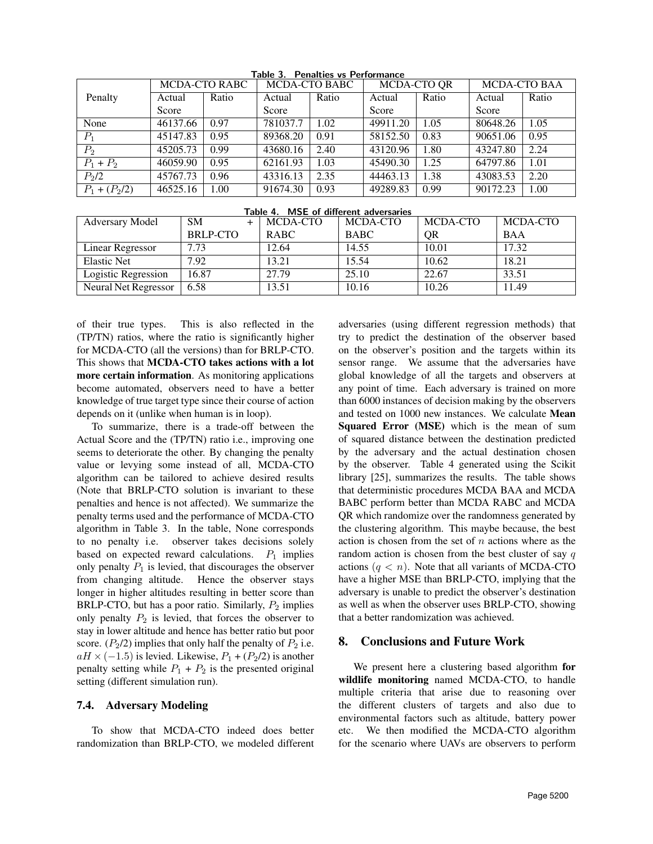|                   |          | <b>MCDA-CTO RABC</b> |          | <b>MCDA-CTO BABC</b> | MCDA-CTO QR |       | <b>MCDA-CTO BAA</b> |       |
|-------------------|----------|----------------------|----------|----------------------|-------------|-------|---------------------|-------|
| Penalty           | Actual   | Ratio                | Actual   | Ratio                | Actual      | Ratio | Actual              | Ratio |
|                   | Score    |                      | Score    |                      | Score       |       | Score               |       |
| None              | 46137.66 | 0.97                 | 781037.7 | 1.02                 | 49911.20    | 1.05  | 80648.26            | 1.05  |
| $P_1$             | 45147.83 | 0.95                 | 89368.20 | 0.91                 | 58152.50    | 0.83  | 90651.06            | 0.95  |
| $P_2$             | 45205.73 | 0.99                 | 43680.16 | 2.40                 | 43120.96    | 1.80  | 43247.80            | 2.24  |
| $P_1 + P_2$       | 46059.90 | 0.95                 | 62161.93 | 1.03                 | 45490.30    | 1.25  | 64797.86            | 1.01  |
| P <sub>2</sub> /2 | 45767.73 | 0.96                 | 43316.13 | 2.35                 | 44463.13    | 1.38  | 43083.53            | 2.20  |
| $P_1 + (P_2/2)$   | 46525.16 | 1.00                 | 91674.30 | 0.93                 | 49289.83    | 0.99  | 90172.23            | 1.00  |

Table 3. Penalties vs Performance

| Table 4. MSE of different adversaries |                 |             |             |           |            |  |  |
|---------------------------------------|-----------------|-------------|-------------|-----------|------------|--|--|
| <b>Adversary Model</b>                | <b>SM</b>       | MCDA-CTO    | MCDA-CTO    | MCDA-CTO  | MCDA-CTO   |  |  |
|                                       | <b>BRLP-CTO</b> | <b>RABC</b> | <b>BABC</b> | <b>OR</b> | <b>BAA</b> |  |  |
| Linear Regressor                      | 7.73            | 12.64       | 14.55       | 10.01     | 17.32      |  |  |
| <b>Elastic Net</b>                    | 7.92            | 13.21       | 15.54       | 10.62     | 18.21      |  |  |
| Logistic Regression                   | 16.87           | 27.79       | 25.10       | 22.67     | 33.51      |  |  |
| <b>Neural Net Regressor</b>           | 6.58            | 13.51       | 10.16       | 10.26     | 11.49      |  |  |

of their true types. This is also reflected in the (TP/TN) ratios, where the ratio is significantly higher for MCDA-CTO (all the versions) than for BRLP-CTO. This shows that MCDA-CTO takes actions with a lot more certain information. As monitoring applications become automated, observers need to have a better knowledge of true target type since their course of action depends on it (unlike when human is in loop).

To summarize, there is a trade-off between the Actual Score and the (TP/TN) ratio i.e., improving one seems to deteriorate the other. By changing the penalty value or levying some instead of all, MCDA-CTO algorithm can be tailored to achieve desired results (Note that BRLP-CTO solution is invariant to these penalties and hence is not affected). We summarize the penalty terms used and the performance of MCDA-CTO algorithm in Table 3. In the table, None corresponds to no penalty i.e. observer takes decisions solely based on expected reward calculations.  $P_1$  implies only penalty  $P_1$  is levied, that discourages the observer from changing altitude. Hence the observer stays longer in higher altitudes resulting in better score than BRLP-CTO, but has a poor ratio. Similarly,  $P_2$  implies only penalty  $P_2$  is levied, that forces the observer to stay in lower altitude and hence has better ratio but poor score.  $(P_2/2)$  implies that only half the penalty of  $P_2$  i.e.  $aH \times (-1.5)$  is levied. Likewise,  $P_1 + (P_2/2)$  is another penalty setting while  $P_1 + P_2$  is the presented original setting (different simulation run).

### 7.4. Adversary Modeling

To show that MCDA-CTO indeed does better randomization than BRLP-CTO, we modeled different adversaries (using different regression methods) that try to predict the destination of the observer based on the observer's position and the targets within its sensor range. We assume that the adversaries have global knowledge of all the targets and observers at any point of time. Each adversary is trained on more than 6000 instances of decision making by the observers and tested on 1000 new instances. We calculate Mean Squared Error (MSE) which is the mean of sum of squared distance between the destination predicted by the adversary and the actual destination chosen by the observer. Table 4 generated using the Scikit library [25], summarizes the results. The table shows that deterministic procedures MCDA BAA and MCDA BABC perform better than MCDA RABC and MCDA QR which randomize over the randomness generated by the clustering algorithm. This maybe because, the best action is chosen from the set of  $n$  actions where as the random action is chosen from the best cluster of say  $q$ actions  $(q < n)$ . Note that all variants of MCDA-CTO have a higher MSE than BRLP-CTO, implying that the adversary is unable to predict the observer's destination as well as when the observer uses BRLP-CTO, showing that a better randomization was achieved.

# 8. Conclusions and Future Work

We present here a clustering based algorithm for wildlife monitoring named MCDA-CTO, to handle multiple criteria that arise due to reasoning over the different clusters of targets and also due to environmental factors such as altitude, battery power etc. We then modified the MCDA-CTO algorithm for the scenario where UAVs are observers to perform